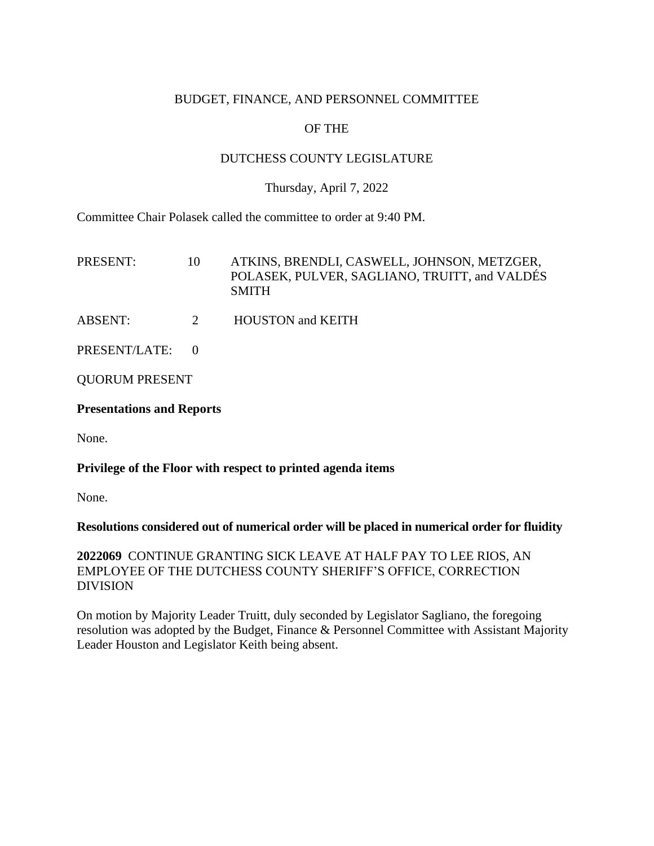## BUDGET, FINANCE, AND PERSONNEL COMMITTEE

# OF THE

## DUTCHESS COUNTY LEGISLATURE

## Thursday, April 7, 2022

Committee Chair Polasek called the committee to order at 9:40 PM.

| PRESENT:        | 10 | ATKINS, BRENDLI, CASWELL, JOHNSON, METZGER,<br>POLASEK, PULVER, SAGLIANO, TRUITT, and VALDÉS<br><b>SMITH</b> |
|-----------------|----|--------------------------------------------------------------------------------------------------------------|
| ABSENT:         | 2  | <b>HOUSTON</b> and <b>KEITH</b>                                                                              |
| PRESENT/LATE: 0 |    |                                                                                                              |
|                 |    |                                                                                                              |

QUORUM PRESENT

## **Presentations and Reports**

None.

#### **Privilege of the Floor with respect to printed agenda items**

None.

#### **Resolutions considered out of numerical order will be placed in numerical order for fluidity**

**2022069** CONTINUE GRANTING SICK LEAVE AT HALF PAY TO LEE RIOS, AN EMPLOYEE OF THE DUTCHESS COUNTY SHERIFF'S OFFICE, CORRECTION DIVISION

On motion by Majority Leader Truitt, duly seconded by Legislator Sagliano, the foregoing resolution was adopted by the Budget, Finance & Personnel Committee with Assistant Majority Leader Houston and Legislator Keith being absent.